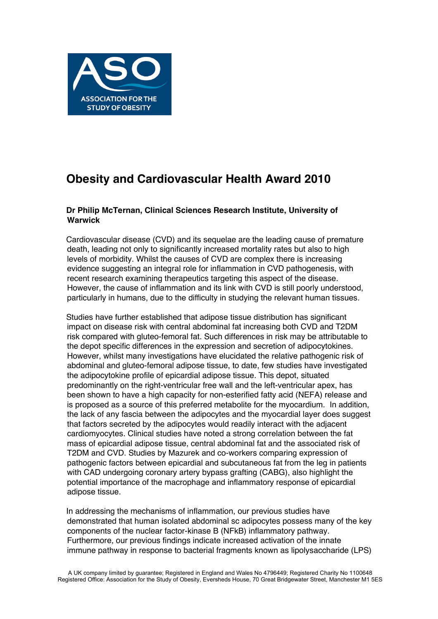

## **Obesity and Cardiovascular Health Award 2010**

## **Dr Philip McTernan, Clinical Sciences Research Institute, University of Warwick**

Cardiovascular disease (CVD) and its sequelae are the leading cause of premature death, leading not only to significantly increased mortality rates but also to high levels of morbidity. Whilst the causes of CVD are complex there is increasing evidence suggesting an integral role for inflammation in CVD pathogenesis, with recent research examining therapeutics targeting this aspect of the disease. However, the cause of inflammation and its link with CVD is still poorly understood, particularly in humans, due to the difficulty in studying the relevant human tissues.

Studies have further established that adipose tissue distribution has significant impact on disease risk with central abdominal fat increasing both CVD and T2DM risk compared with gluteo-femoral fat. Such differences in risk may be attributable to the depot specific differences in the expression and secretion of adipocytokines. However, whilst many investigations have elucidated the relative pathogenic risk of abdominal and gluteo-femoral adipose tissue, to date, few studies have investigated the adipocytokine profile of epicardial adipose tissue. This depot, situated predominantly on the right-ventricular free wall and the left-ventricular apex, has been shown to have a high capacity for non-esterified fatty acid (NEFA) release and is proposed as a source of this preferred metabolite for the myocardium. In addition, the lack of any fascia between the adipocytes and the myocardial layer does suggest that factors secreted by the adipocytes would readily interact with the adjacent cardiomyocytes. Clinical studies have noted a strong correlation between the fat mass of epicardial adipose tissue, central abdominal fat and the associated risk of T2DM and CVD. Studies by Mazurek and co-workers comparing expression of pathogenic factors between epicardial and subcutaneous fat from the leg in patients with CAD undergoing coronary artery bypass grafting (CABG), also highlight the potential importance of the macrophage and inflammatory response of epicardial adipose tissue.

In addressing the mechanisms of inflammation, our previous studies have demonstrated that human isolated abdominal sc adipocytes possess many of the key components of the nuclear factor-kinase B (NFkB) inflammatory pathway. Furthermore, our previous findings indicate increased activation of the innate immune pathway in response to bacterial fragments known as lipolysaccharide (LPS)